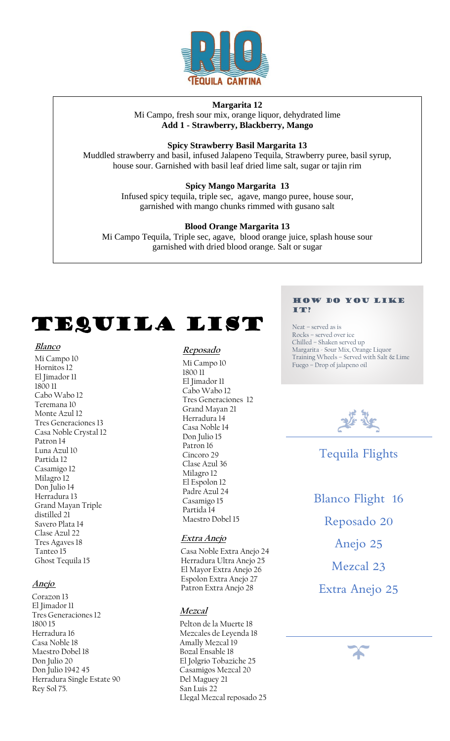

#### **Margarita 12**

Margarita 12<br>Mi Campo, fresh sour mix, orange liquor, dehydrated lime **Add 1 - Strawberry, Blackberry, Mango**

#### **Spicy Strawberry Basil Margarita 13**

Muddled strawberry and basil, infused Jalapeno Tequila, Strawberry puree, basil syrup, house sour. Garnished with basil leaf dried lime salt, sugar or tajin rim

#### **Spicy Mango Margarita 13**

Infused spicy tequila, triple sec, agave, mango puree, house sour, garnished with mango chunks rimmed with gusano salt

#### **Blood Orange Margarita 13**

Mi Campo Tequila, Triple sec, agave, blood orange juice, splash house sour garnished with dried blood orange. Salt or sugar

# Tequila List

## **Blanco**

Mi Campo 10 Hornitos 12 El Jimador 11 1800 11 Cabo Wabo 12 Teremana 10 Monte Azul 12 Tres Generaciones 13 Casa Noble Crystal 12 Patron 14 Luna Azul 10 Partida 12 Casamigo 12 Milagro 12 Don Julio 14 Herradura 13 Grand Mayan Triple distilled 21 Savero Plata 14 Clase Azul 22 Tres Agaves 18 Tanteo 15 Ghost Tequila 15

#### **Anejo**

1 res Generac<br>1800 15<br>Herradura 16 Don Julio 20<br>Don Julio 19<br>Herradura S Corazon 13 El Jimador 11 Tres Generaciones 12 1800 15 Casa Noble 18 Maestro Dobel 18 Don Julio 1942 45 Herradura Single Estate 90 Rey Sol 75.

## **Reposado**

Mi Campo 10 1800 11 El Iimador II Cabo Wabo 12 Tres Generaciones 12 Grand Mayan 21 Herradura 14 Casa Noble 14 Don Julio 15 Patron 16 Cincoro 29 Clase Azul 36 Milagro 12 El Espolon 12 Padre Azul 24 Casamigo 15 Partida 14 Maestro Dobel 15

#### **Extra Anejo**

Casa Noble Extra Anejo 24 Herradura Ultra Anejo 25 El Mayor Extra Anejo 26 Espolon Extra Anejo 27 Patron Extra Anejo 28

#### **Mezcal**

Pelton de la Muerte 18 Mezcales de Leyenda 18 Amally Mezcal 19 Bozal Ensable 18 El Jolgrio Tobaziche 25 Casamigos Mezcal 20 Del Maguey 21 San Luis 22 Llegal Mezcal reposado 25

#### How do you like it?

Neat – served as is Rocks – served over ice Chilled – Shaken served up Margarita - Sour Mix, Orange Liquor Training Wheels – Served with Salt & Lime Fuego – Drop of jalapeno oil



## Tequila Flights

Blanco Flight 16 Reposado 20 Anejo 25 Mezcal 23 Extra Anejo 25